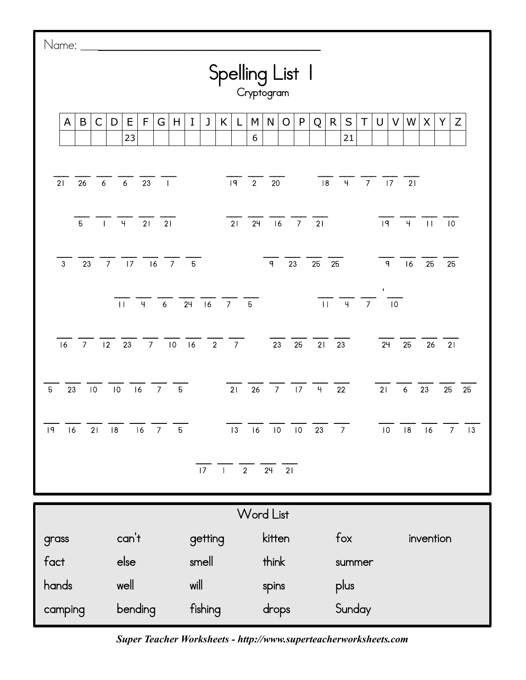| Name: ________                                                                                                                            |                                              |                  |                                                           |                                   |                                   |  |  |  |  |  |
|-------------------------------------------------------------------------------------------------------------------------------------------|----------------------------------------------|------------------|-----------------------------------------------------------|-----------------------------------|-----------------------------------|--|--|--|--|--|
| Spelling List  <br>Cryptogram                                                                                                             |                                              |                  |                                                           |                                   |                                   |  |  |  |  |  |
| $\mathsf{C}$<br>B<br>A                                                                                                                    | F<br>Е<br>H<br>D<br>G<br>23                  | J<br>K<br>I<br>L | P<br>M<br>N<br>Q<br>O<br>6                                | $\sf S$<br>R.<br>T<br>U<br>21     | $\mathsf Z$<br>V<br>W<br>X<br>Υ   |  |  |  |  |  |
| 26<br>21                                                                                                                                  | $23 \quad \Box$<br>$6\qquad 6$               | $\sqrt{19}$ 2    | 20                                                        | $\frac{18}{18}$ 4 7 17 21         |                                   |  |  |  |  |  |
| 5 <sup>7</sup><br>$-1$                                                                                                                    | $-4$<br>21<br>21                             | $\overline{21}$  | $7$ 21<br>24<br> 6                                        | 9                                 | 4<br>$\Box$<br>$\overline{10}$    |  |  |  |  |  |
| 7 <sup>7</sup><br>23<br>$\mathbf{3}$                                                                                                      | $\overline{17}$<br> 16 <br>7 <sup>7</sup>    | 5 <sup>1</sup>   | $\overline{q}$<br>23<br>25                                | 25<br>$\overline{q}$              | 6<br>25<br>25                     |  |  |  |  |  |
| $\frac{1}{11}$<br>$\frac{1}{11}$ $\frac{1}{4}$ $\frac{1}{6}$ $\frac{1}{24}$ $\frac{1}{16}$ $\frac{1}{7}$ $\frac{1}{5}$<br>$\overline{10}$ |                                              |                  |                                                           |                                   |                                   |  |  |  |  |  |
| $\overline{7}$<br> 2 <br>16                                                                                                               | 23 7 10 16                                   | $2 \overline{7}$ | $\overline{23}$<br>25                                     | 21<br>23<br>24                    | 25<br>26<br>$-21$                 |  |  |  |  |  |
| 10<br>23<br>$\overline{5}$                                                                                                                | 10<br> 6<br>$\overline{7}$<br>5 <sub>5</sub> | $\overline{21}$  | $\frac{1}{26}$ $\frac{1}{7}$ $\frac{1}{17}$ $\frac{1}{4}$ | 21<br>22                          | $6\overline{6}$<br>23<br>25<br>25 |  |  |  |  |  |
| $\mathsf{I}\mathsf{q}$<br>21<br>16                                                                                                        | $\overline{7}$<br> 8<br>16<br>5 <sub>5</sub> | 3                | $10 \t 23$<br>16<br>$\overline{\mathsf{I}}$ 0             | 7 <sup>7</sup><br>$\overline{10}$ | 8 <br>16<br>$\overline{7}$<br> 3  |  |  |  |  |  |
| 17<br>$\begin{array}{ccc} & 2 \end{array}$<br>$24$ 21                                                                                     |                                              |                  |                                                           |                                   |                                   |  |  |  |  |  |
| <b>Word List</b>                                                                                                                          |                                              |                  |                                                           |                                   |                                   |  |  |  |  |  |
| grass                                                                                                                                     | can't                                        | getting          | kitten                                                    | fox                               | invention                         |  |  |  |  |  |
| fact                                                                                                                                      | else                                         | smell            | think                                                     | summer                            |                                   |  |  |  |  |  |
| hands                                                                                                                                     | well                                         | will             | spins                                                     | plus                              |                                   |  |  |  |  |  |
| camping                                                                                                                                   | bending                                      | fishing          | drops                                                     | Sunday                            |                                   |  |  |  |  |  |

*Super Teacher Worksheets - http://www.superteacherworksheets.com*